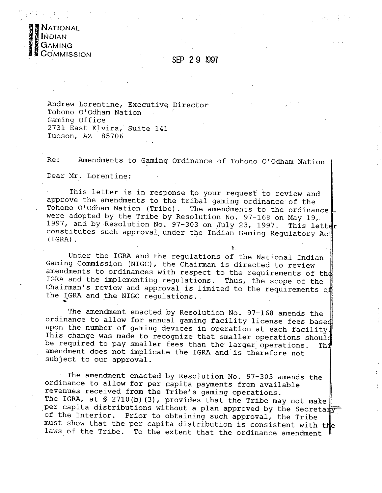**NATIONAL INDIAN GAMING** COMMISSION

SEP 29 1997

Andrew Lorentine, Executive Director Tohono O'Odham Nation Gaming Office 2731 East Elvira, Suite 141 Tucson, AZ 85706

Re: Amendments to Gaming Ordinance of Tohono O'Odham Nation

Dear Mr. Lorentine:

This letter is in response to your request to review and approve the amendments to the tribal gaming ordinance of the Tohono O'Odham Nation (Tribe). The amendments to the ordinance were adopted by the Tribe by Resolution No. 97-168 on May 19, 1997, and by Resolution No. 97-303 on July 23, 1997. This letter constitutes such approval under the Indian Gaming Regulatory Act  $(IGRA)$ .

중..

Under the IGRA and the regulations of the National Indian Gaming Commission (NIGC), the Chairman is directed to review amendments to ordinances with respect to the requirements of the IGRA and the implementing regulations. Thus, the scope of the Chairman's review and approval is limited to the requirements of the IGRA and the NIGC regulations.

The amendment enacted by Resolution No. 97-168 amends the ordinance to allow for annual gaming facility license fees based upon the number of gaming devices in operation at each facility. This change was made to recognize that smaller operations should be required to pay smaller fees than the larger operations. Thi amendment does not implicate the IGRA and is therefore not subject to our approval.

The amendment enacted by Resolution No. 97-303 amends the ordinance to allow for per capita payments from available revenues received from the Tribe's gaming operations. The IGRA, at \$ 2710(b) (3), provides that the Tribe may not make per capita distributions without a plan approved by the Secretary of the Interior. Prior to obtaining such approval, the Tribe must show that the per capita distribution is consistent with the laws of the Tribe. To the extent that the ordinance amendment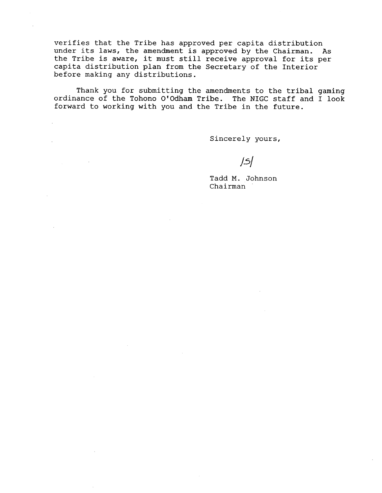verifies that the Tribe has approved per capita distribution under its laws, the amendment is approved by the Chairman. As the Tribe is aware, it must still receive approval for its per capita distribution plan from the Secretary of the Interior before making any distributions.

Thank you for submitting the amendments to the tribal gaming ordinance of the Tohono O'Odham Tribe. The NIGC staff and I look forward to working with you and the Tribe in the future.

Sincerely yours,

 $\sqrt{5}$ 

Tadd M. Johnson Chairman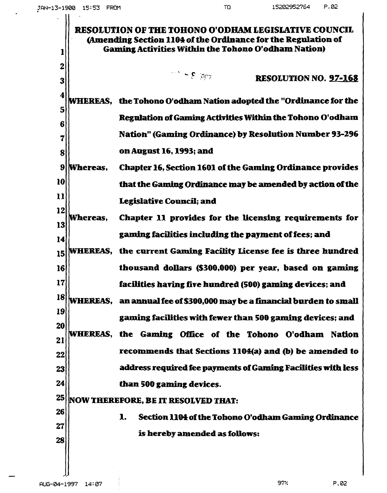$\ddot{\phantom{a}}$ 

 $\overline{\phantom{a}}$ 

|                         |                                                                        |    |                                 |                                               |                 | <b>RESOLUTION OF THE TOHONO O'ODHAM LEGISLATIVE COUNCIL</b><br>(Amending Section 1104 of the Ordinance for the Regulation of |      |
|-------------------------|------------------------------------------------------------------------|----|---------------------------------|-----------------------------------------------|-----------------|------------------------------------------------------------------------------------------------------------------------------|------|
| 1                       |                                                                        |    |                                 |                                               |                 | <b>Gaming Activities Within the Tohono O'odham Nation)</b>                                                                   |      |
| $\mathbf 2$             |                                                                        |    |                                 |                                               |                 |                                                                                                                              |      |
| 3                       |                                                                        |    |                                 | $\frac{1}{2}$ = $\frac{1}{2}$ = $\frac{1}{2}$ |                 | <b>RESOLUTION NO. 97-168</b>                                                                                                 |      |
| 4                       | WHEREAS, the Tohono O'odham Nation adopted the "Ordinance for the      |    |                                 |                                               |                 |                                                                                                                              |      |
| 5<br>6                  |                                                                        |    |                                 |                                               |                 | <b>Regulation of Gaming Activities Within the Tohono O'odham</b>                                                             |      |
| $\overline{\mathbf{z}}$ |                                                                        |    |                                 |                                               |                 | <b>Nation" (Gaming Ordinance) by Resolution Number 93-296</b>                                                                |      |
| 8                       |                                                                        |    | on August 16, 1993; and         |                                               |                 |                                                                                                                              |      |
| 9                       | Whereas,                                                               |    |                                 |                                               |                 | Chapter 16, Section 1601 of the Gaming Ordinance provides                                                                    |      |
| 10                      |                                                                        |    |                                 |                                               |                 | that the Gaming Ordinance may be amended by action of the                                                                    |      |
| 11                      |                                                                        |    | <b>Legislative Council; and</b> |                                               |                 |                                                                                                                              |      |
| 12                      | Whereas.                                                               |    |                                 |                                               |                 | Chapter 11 provides for the licensing requirements for                                                                       |      |
| 13                      |                                                                        |    |                                 |                                               |                 | gaming facilities including the payment of fees; and                                                                         |      |
| 14                      |                                                                        |    |                                 |                                               |                 |                                                                                                                              |      |
| 15                      | WHEREAS, the current Gaming Facility License fee is three hundred      |    |                                 |                                               |                 |                                                                                                                              |      |
| 16                      |                                                                        |    |                                 |                                               |                 | thousand dollars (\$300,000) per year, based on gaming                                                                       |      |
| 17<br>18                |                                                                        |    |                                 |                                               |                 | facilities having five hundred (500) gaming devices; and                                                                     |      |
| 19                      | WHEREAS, an annual fee of \$300,000 may be a financial burden to small |    |                                 |                                               |                 |                                                                                                                              |      |
| 20                      |                                                                        |    |                                 |                                               |                 | gaming facilities with fewer than 500 gaming devices; and                                                                    |      |
| 21                      | WHEREAS, the Gaming Office of the Tohono O'odham Nation                |    |                                 |                                               |                 |                                                                                                                              |      |
| 22                      |                                                                        |    |                                 |                                               |                 | recommends that Sections 1104(a) and (b) be amended to                                                                       |      |
| 23                      |                                                                        |    |                                 |                                               |                 | address required fee payments of Gaming Facilities with less                                                                 |      |
| 24                      |                                                                        |    | than 500 gaming devices.        |                                               |                 |                                                                                                                              |      |
| 25                      | NOW THEREFORE, BE IT RESOLVED THAT:                                    |    |                                 |                                               |                 |                                                                                                                              |      |
| 26                      |                                                                        | 1. |                                 |                                               |                 | <b>Section 1104 of the Tohono O'odham Gaming Ordinance</b>                                                                   |      |
| 27                      |                                                                        |    |                                 | is hereby amended as follows:                 |                 |                                                                                                                              |      |
| 28                      |                                                                        |    |                                 |                                               |                 |                                                                                                                              |      |
|                         |                                                                        |    |                                 |                                               |                 |                                                                                                                              |      |
| AUG-04-1997             | 14:07                                                                  |    |                                 |                                               | 97 <sub>x</sub> |                                                                                                                              | P.02 |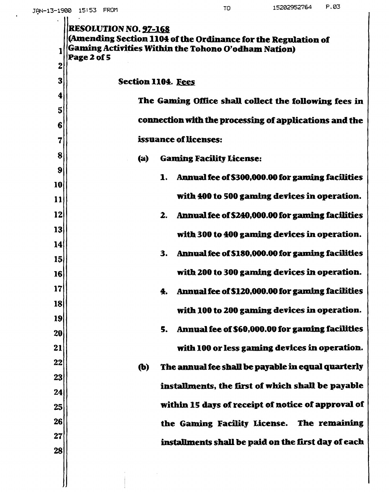|             | <b>RESOLUTION NO. 97-168</b><br>(Amending Section 1104 of the Ordinance for the Regulation of |
|-------------|-----------------------------------------------------------------------------------------------|
|             | <b>Gaming Activities Within the Tohono O'odham Nation)</b>                                    |
| $\mathbf 2$ | Page 2 of 5                                                                                   |
| 3           | <b>Section 1104. Fees</b>                                                                     |
| 4<br>5      | The Gaming Office shall collect the following fees in                                         |
| 6           | connection with the processing of applications and the                                        |
| 7           | issuance of licenses:                                                                         |
| 8           | <b>Gaming Facility License:</b><br>(a)                                                        |
| 9<br>10     | Annual fee of \$300,000.00 for gaming facilities<br>1.                                        |
| 11          | with 400 to 500 gaming devices in operation.                                                  |
| 12          | 2.<br><b>Annual fee of \$240,000.00 for gaming facilities</b>                                 |
| 13          | with 300 to 400 gaming devices in operation.                                                  |
| 14<br>15    | Annual fee of \$180,000.00 for gaming facilities<br>З.                                        |
| 16          | with 200 to 300 gaming devices in operation.                                                  |
| 17          | Annual fee of \$120,000.00 for gaming facilities<br>4.                                        |
| 18<br>19    | with 100 to 200 gaming devices in operation.                                                  |
| 20          | <b>Annual fee of \$60,000.00 for gaming facilities</b><br>5.                                  |
| 21          | with 100 or less gaming devices in operation.                                                 |
| 22          | The annual fee shall be payable in equal quarterly<br>$\mathbf{b}$                            |
| 23<br>24    | installments, the first of which shall be payable                                             |
| 25          | within 15 days of receipt of notice of approval of                                            |
| 26          | the Gaming Facility License. The remaining                                                    |
| 27          | installments shall be paid on the first day of each                                           |
| 28          |                                                                                               |
|             |                                                                                               |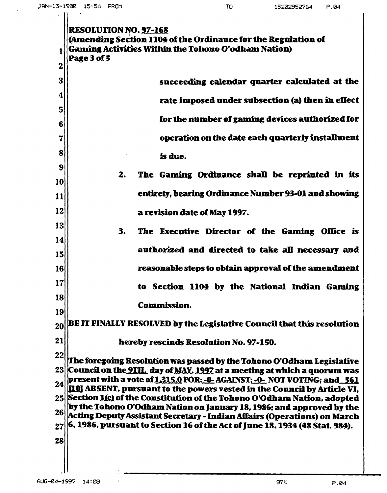$\mathcal{L}$ 

| 1           | <b>RESOLUTION NO. 97-168</b><br>(Amending Section 1104 of the Ordinance for the Regulation of<br><b>Gaming Activities Within the Tohono O'odham Nation)</b><br>Page 3 of 5 |
|-------------|----------------------------------------------------------------------------------------------------------------------------------------------------------------------------|
| $\mathbf 2$ |                                                                                                                                                                            |
| 3           | succeeding calendar quarter calculated at the                                                                                                                              |
| 4           | rate imposed under subsection (a) then in effect                                                                                                                           |
| 5<br>6      | for the number of gaming devices authorized for                                                                                                                            |
| 7           | operation on the date each quarterly installment                                                                                                                           |
| $\bf{8}$    | is due.                                                                                                                                                                    |
| 9           |                                                                                                                                                                            |
| 10          | The Gaming Ordinance shall be reprinted in its<br>2.                                                                                                                       |
| 11          | entirety, bearing Ordinance Number 93-01 and showing                                                                                                                       |
| 12          | a revision date of May 1997.                                                                                                                                               |
| 13          | 3.<br>The Executive Director of the Gaming Office is                                                                                                                       |
| 14          | authorized and directed to take all necessary and                                                                                                                          |
| 15          |                                                                                                                                                                            |
| 16          | reasonable steps to obtain approval of the amendment                                                                                                                       |
| 17          | to Section 1104 by the National Indian Gaming                                                                                                                              |
| 18          | <b>Commission.</b>                                                                                                                                                         |
| 19<br>20    | BE IT FINALLY RESOLVED by the Legislative Council that this resolution                                                                                                     |
| 21          | hereby rescinds Resolution No. 97-150.                                                                                                                                     |
| 22          |                                                                                                                                                                            |
| 23          | The foregoing Resolution was passed by the Tohono O'Odham Legislative<br>Council on the <u>9TH.</u> day of <u>MAY, 1997</u> at a meeting at which a quorum was             |
| 24          | present with a vote of 1.315.0 FOR; -0- AGAINST; -0- NOT VOTING; and 561                                                                                                   |
| 25          | [10] ABSENT, pursuant to the powers vested in the Council by Article VI,<br>Section 1(c) of the Constitution of the Tohono O'Odham Nation, adopted                         |
| 26          | by the Tohono O'Odham Nation on January 18, 1986; and approved by the<br>Acting Deputy Assistant Secretary - Indian Affairs (Operations) on March                          |
| 27          | $\vert$ 6, 1986, pursuant to Section 16 of the Act of June 18, 1934 (48 Stat. 984).                                                                                        |
| 28          |                                                                                                                                                                            |
|             |                                                                                                                                                                            |
|             |                                                                                                                                                                            |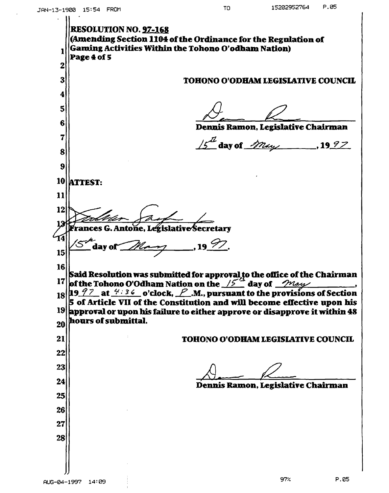| P.05<br>15202952764<br>TO.<br>JAN-13-1900 15:54 FROM                                                                                                                               |
|------------------------------------------------------------------------------------------------------------------------------------------------------------------------------------|
| <b>RESOLUTION NO. 97-168</b><br>(Amending Section 1104 of the Ordinance for the Regulation of<br>Gaming Activities Within the Tohono O'odham Nation)<br>Page 4 of 5<br>$\mathbf 2$ |
| 3<br><b>TOHONO O'ODHAM LEGISLATIVE COUNCIL</b>                                                                                                                                     |
| 4<br>5                                                                                                                                                                             |
| 6<br>Dennis Ramon, Legislative Chairman                                                                                                                                            |
| 7<br>$15^{\frac{17}{2}}$ day of $\frac{m_{\text{sky}}}{\sqrt{m_{\text{sky}}}}$<br>$,19$ 9.7                                                                                        |
| 8                                                                                                                                                                                  |
| 9                                                                                                                                                                                  |
| 10 ATTEST:<br>11                                                                                                                                                                   |
| 12                                                                                                                                                                                 |
| Frances G. Antone, Legislative Secretary                                                                                                                                           |
| 14<br>$-19\frac{97}{2}$<br>بهج<br>day of $\mathcal{L}$                                                                                                                             |
| 15<br>16                                                                                                                                                                           |
| Said Resolution was submitted for approval to the office of the Chairman<br> 17 <br>of the Tohono O'Odham Nation on the $15^{-4}$ day of $2$ May                                   |
| 18 19 97 at 4:36 o'clock, P.M., pursuant to the provisions of Section<br>5 of Article VII of the Constitution and will become effective upon his                                   |
| $19$ approval or upon his failure to either approve or disapprove it within 48<br>hours of submittal.                                                                              |
| 20<br>21<br>TOHONO O'ODHAM LEGISLATIVE COUNCIL                                                                                                                                     |
| 22                                                                                                                                                                                 |
| 23                                                                                                                                                                                 |
| 24<br>Dennis Ramon, Legislative Chairman                                                                                                                                           |
| 25<br>26                                                                                                                                                                           |
| 27                                                                                                                                                                                 |
| 28                                                                                                                                                                                 |
|                                                                                                                                                                                    |
| 97 <sub>x</sub><br>P.05<br>AUG-04-1997 14:09                                                                                                                                       |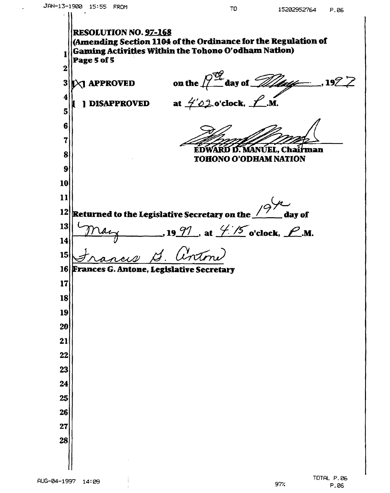**RESOLUTION NO. 97~148 (Amending Section 1104 of the Ordinance for the Regulation of <sup>i</sup> Gaming Activities Within the Tohono Oodham Nation) Page 5 of 5**  $\mathbf 2$ **3**  $\uparrow \searrow$  **1 APPROVED on the**  $\left\{\begin{matrix} \frac{\partial g}{\partial x} \\ \frac{\partial g}{\partial y} \end{matrix}\right\}$  **on** the  $\left\{\begin{matrix} 197 \\ 4 \end{matrix}\right\}$ at  $\frac{4}{2}$   $\frac{1}{2}$  o'clock,  $\frac{2}{2}$ .M. *I* DISAPPROVED 5 6 7 **EDWARD D. MANUEL. Chairman 8 TOHONO OODHAM NATION 9 10 11 <sup>12</sup> Returned to the Legislative Secretary on the / day of** *29* , at  $\frac{4!}{5}$  o'clock, **P.M. 13 14 I** rances  $\beta$ . Centone **<sup>16</sup> prances G. Antone, Legislative Secretary 17 18 19 20 21 22 23 24 25 26 27 28 ~UG-041997 14:09 TOTAL P.06**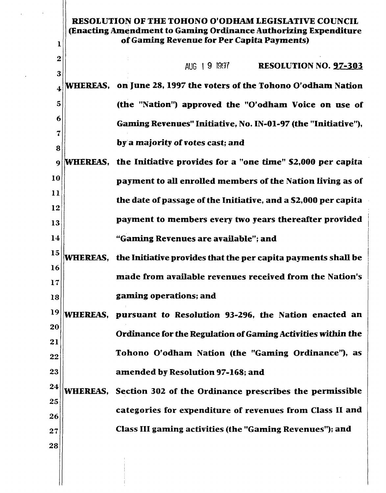|             | <b>RESOLUTION OF THE TOHONO O'ODHAM LEGISLATIVE COUNCIL</b><br>(Enacting Amendment to Gaming Ordinance Authorizing Expenditure |
|-------------|--------------------------------------------------------------------------------------------------------------------------------|
| ı           | of Gaming Revenue for Per Capita Payments)                                                                                     |
| $\mathbf 2$ |                                                                                                                                |
| 3           | AUG 19 1997<br><b>RESOLUTION NO. 97-303</b>                                                                                    |
| 4           | WHEREAS, on June 28, 1997 the voters of the Tohono O'odham Nation                                                              |
| 5           | (the "Nation") approved the "O'odham Voice on use of                                                                           |
| 6           | Gaming Revenues" Initiative, No. IN-01-97 (the "Initiative"),                                                                  |
| 7<br>8      | by a majority of votes cast; and                                                                                               |
| 9           | WHEREAS, the Initiative provides for a "one time" \$2,000 per capita                                                           |
| 10          | payment to all enrolled members of the Nation living as of                                                                     |
| 11          | the date of passage of the Initiative, and a \$2,000 per capita                                                                |
| 12          |                                                                                                                                |
| 13          | payment to members every two years thereafter provided                                                                         |
| 14          | "Gaming Revenues are available"; and                                                                                           |
| 15          | WHEREAS, the Initiative provides that the per capita payments shall be                                                         |
| 16<br>17    | made from available revenues received from the Nation's                                                                        |
| 18          | gaming operations; and                                                                                                         |
| 19          | WHEREAS, pursuant to Resolution 93-296, the Nation enacted an                                                                  |
| 20          |                                                                                                                                |
| 21          | Ordinance for the Regulation of Gaming Activities within the                                                                   |
| 22          | Tohono O'odham Nation (the "Gaming Ordinance"), as                                                                             |
| 23          | amended by Resolution 97-168; and                                                                                              |
| 24          | WHEREAS, Section 302 of the Ordinance prescribes the permissible                                                               |
| 25          | categories for expenditure of revenues from Class II and                                                                       |
| 26          |                                                                                                                                |
| 27          | Class III gaming activities (the "Gaming Revenues"); and                                                                       |
| 28          |                                                                                                                                |
|             |                                                                                                                                |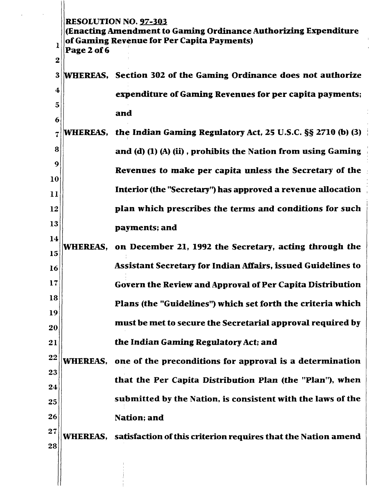## **RESOLUTION NO. 97-303**

**(Enacting Amendment to Gaming Ordinance Authorizing Expenditure of Gaming Revenue for Per Capita Payments) Page 2 of 6**

 **EREAS, Section 302 of the Gaming Ordinance does not authorize expenditure of Gaming Revenues for per capita payments; and EREAS, the Indian Gaming Regulatory Act, 25 U.S.C. §~ 2710 (b) (3) and (d) (1) (A) (ii) , prohibits the Nation from using Gaming Revenues to make per capita unless the Secretary of the Interior (the Secretary) has approved a revenue allocation plan which prescribes the terms and conditions for such payments; and WHEREAS, on December 21, 1992 the Secretary, acting through the Assistant Secretary for Indian Affairs, issued Guidelines to Govern the Review and Approval of Per Capita Distribution Plans (the Guidelines) which set forth the criteria which must be met to secure the Secretarial approval required by the Indian Gaming Regulatory Act; and WHEREAS, one of the preconditions for approval is a determination that the Per Capita Distribution Plan (the Plan), when submitted by the Nation, is consistent with the laws of the Nation; and 2~ WHEREAS, satisfaction of this criterion requires that the Nation amend**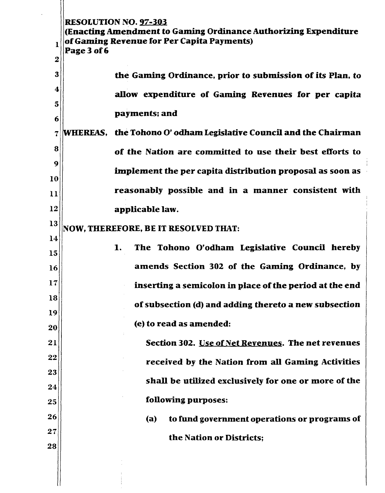## **RESOLUTION NO. 97-303**

**(Enacting Amendment to Gaming Ordinance Authorizing Expenditure of Gaming Revenue for Per Capita Payments)**

**Page 3 of 6 the Gaming Ordinance, prior to submission of its Plan, to allow expenditure of Gaming Revenues for per capita payments; and EREAS, the Tohono 0 odham Legislative Council and the Chairman of the Nation are committed to use their best efforts to implement the per capita distribution proposal as soon as reasonably possible and in <sup>a</sup> manner consistent with applicable law. NOW, THEREFORE, BE IT RESOLVED THAT: 1. The Tohono Oodham Legislative Council hereby amends Section 302 of the Gaming Ordinance, by inserting a semicolon in place of the period at the end of subsection (d) and adding thereto a new subsection (e) to read as amended: Section 302. Use of Net Revenues The net revenues received by the Nation from all Gaming Activities shall be utilized exclusively for one or more of the following purposes: (a) to fund government operations or programs of the Nation or Districts;**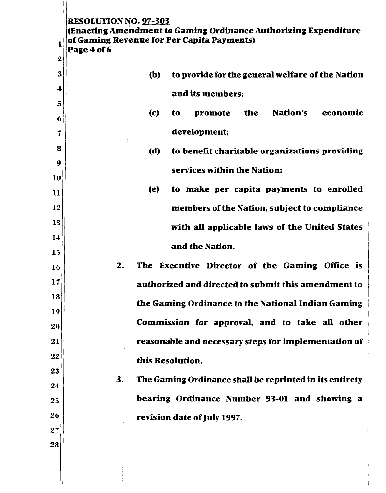|                                         | <b>RESOLUTION NO. 97-303</b><br>(Enacting Amendment to Gaming Ordinance Authorizing Expenditure<br>of Gaming Revenue for Per Capita Payments)<br>Page 4 of 6 |
|-----------------------------------------|--------------------------------------------------------------------------------------------------------------------------------------------------------------|
| 2<br>3                                  | <b>(b)</b><br>to provide for the general welfare of the Nation                                                                                               |
| $\overline{\mathbf{4}}$<br>$\mathbf{5}$ | and its members;                                                                                                                                             |
| 6                                       | Nation's<br>(c)<br>the<br>to<br>promote<br>economic                                                                                                          |
| 7                                       | development;                                                                                                                                                 |
| 8                                       | (d)<br>to benefit charitable organizations providing                                                                                                         |
| 9                                       | services within the Nation;                                                                                                                                  |
| 10                                      | to make per capita payments to enrolled<br>(e)                                                                                                               |
| 11<br>12                                | members of the Nation, subject to compliance                                                                                                                 |
| 13                                      |                                                                                                                                                              |
| 14                                      | with all applicable laws of the United States                                                                                                                |
| 15                                      | and the Nation.                                                                                                                                              |
| 16                                      | The Executive Director of the Gaming Office is<br>2.                                                                                                         |
| 17                                      | authorized and directed to submit this amendment to                                                                                                          |
| 18                                      | the Gaming Ordinance to the National Indian Gaming                                                                                                           |
| 19                                      | Commission for approval, and to take all other                                                                                                               |
| 20                                      |                                                                                                                                                              |
| 21<br>22                                | reasonable and necessary steps for implementation of                                                                                                         |
| 23                                      | this Resolution.                                                                                                                                             |
| 24                                      | The Gaming Ordinance shall be reprinted in its entirety<br>3.                                                                                                |
| 25                                      | bearing Ordinance Number 93-01 and showing a                                                                                                                 |
| 26                                      | revision date of July 1997.                                                                                                                                  |
| 27                                      |                                                                                                                                                              |
| 28                                      |                                                                                                                                                              |
|                                         |                                                                                                                                                              |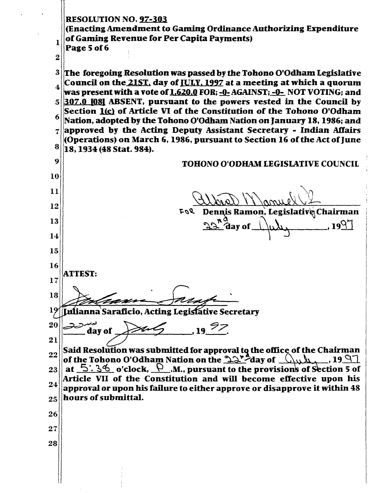**RESOLUTION NO. 97-303 (Enacting Amendment to Gaming Ordinance Authorizing Expenditure of Gaming Revenue for Per Capita Payments) 1 Page <sup>5</sup> o16 2 <sup>3</sup> The foregoing Resolution was passed by the Tohono OOdham Legislative Council on the 21ST day of JULY. 1997 at a meeting at which <sup>a</sup> quorum**  $\overline{\mathbf{A}}$ **was present with <sup>a</sup> vote of 1620.0 FOR; ~AGAINST; - NOT VOTING; and <sup>5</sup> 307,0 081 ABSENT, pursuant to the powers vested in the Council by Section 1(c of Article VI of the Constitution of the Tohono OOdham <sup>6</sup> Nation, adopted by the Tohono OOdham Nation on January 18, 1986; and <sup>7</sup> approved by the Acting Deputy Assistant Secretary - Indian Affairs (Operations) on March 6, 1986, pursuant to Section 16 of the Act of June <sup>8</sup> 18,1934(48 Stat. 984). <sup>9</sup> TOHONO OODHAM LEGISlATIVE COUNCIL** 10  $\begin{bmatrix} 11 \\ 12 \\ 13 \end{bmatrix}$  **EQUAL PROMIS RAMON**, Legislative Chairman  $\frac{1997}{100}$  . 199<sup>7</sup> 14 **15 16 ATTEST: 17 18 Exercise 2 Exercise 1.2 19** *L***ulianna Saraficio, Acting Legisfative Secretary**  $20$   $\approx$   $\frac{20}{\text{day of}}$  $19^{97}$ **21 Said Resolution was submitted for approval t~ the office of the Chairman 22** of the Tohono O'Odham Nation on the  $\frac{22^{4}}{4}$ day of  $TPP_1$  .  $\mu$  $23$  **at**  $\frac{5!}{2!}$   $\frac{36}{2}$  **o'clock,**  $\frac{6}{2}$ . M., pursuant to the provisions of Section 5 of **Article VII of the Constitution and will become effective upon his 24 approval or upon his failure to either approve or disapprove it within 48 25 hours of submittaL 26 27 28**